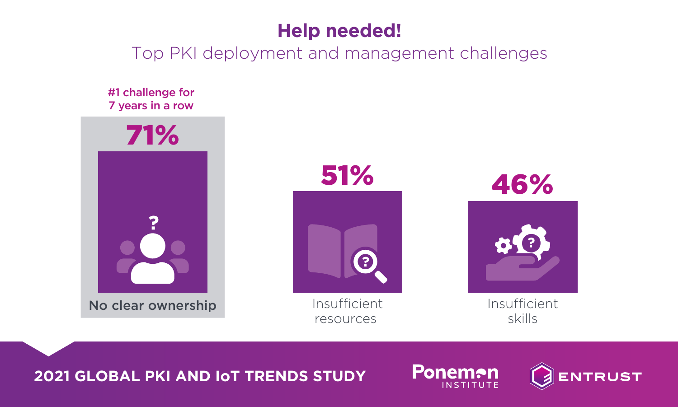## **Help needed!**

Top PKI deployment and management challenges





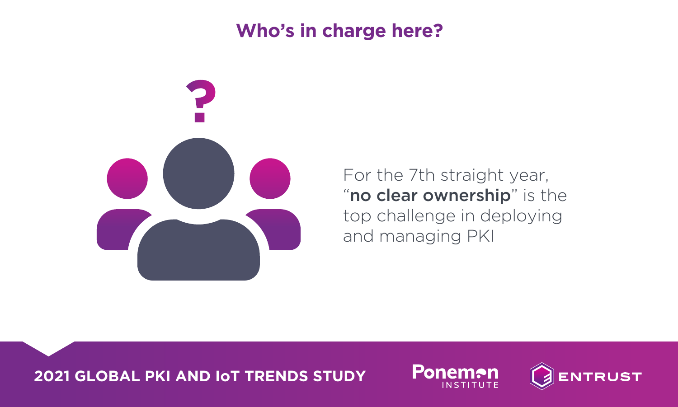## **Who's in charge here?**



For the 7th straight year, "no clear ownership" is the top challenge in deploying and managing PKI



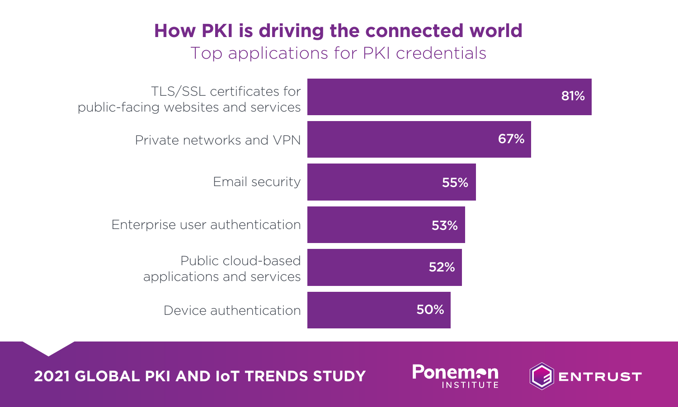# **How PKI is driving the connected world**

#### Top applications for PKI credentials





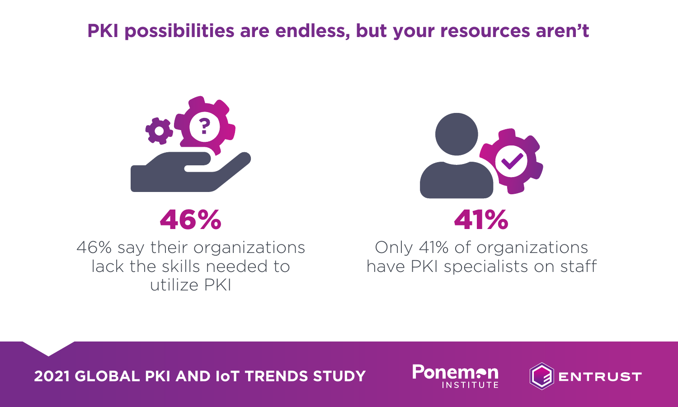## **PKI possibilities are endless, but your resources aren't**



# 46%

46% say their organizations lack the skills needed to utilize PKI



Only 41% of organizations have PKI specialists on staff



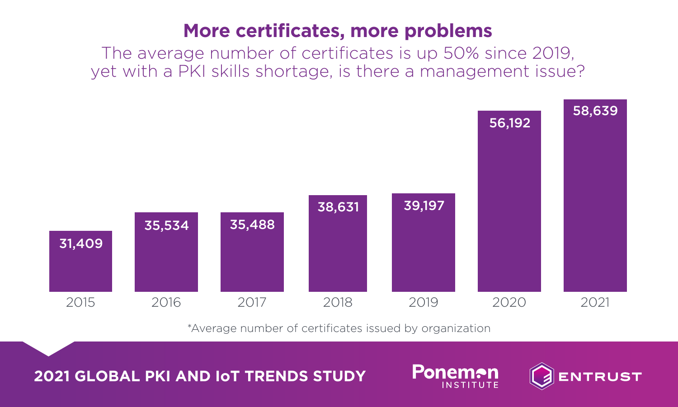## **More certificates, more problems**

The average number of certificates is up 50% since 2019, yet with a PKI skills shortage, is there a management issue?



\*Average number of certificates issued by organization

**Ponemon** 

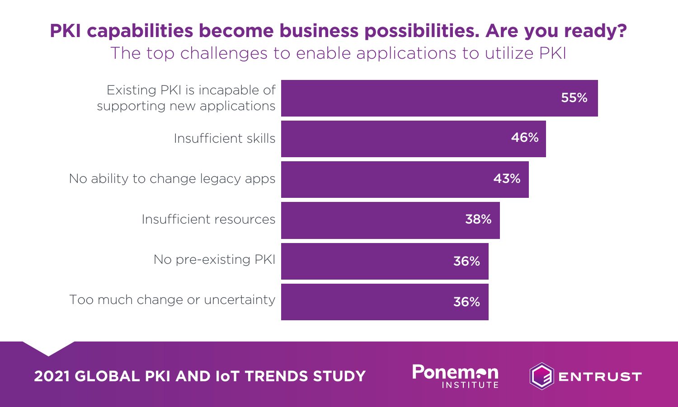## **PKI capabilities become business possibilities. Are you ready?**

The top challenges to enable applications to utilize PKI





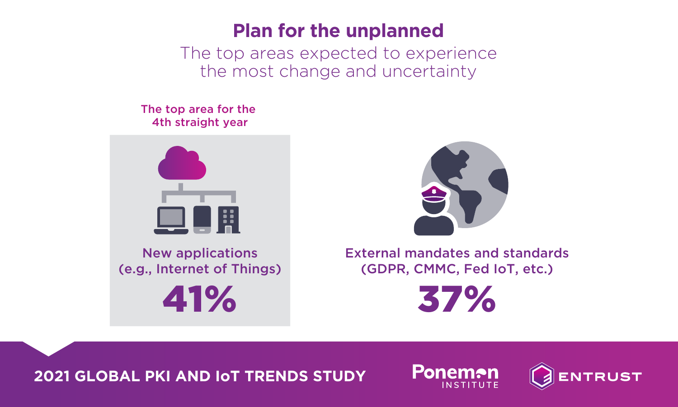## **Plan for the unplanned**

The top areas expected to experience the most change and uncertainty

The top area for the 4th straight year



41% New applications (e.g., Internet of Things)



37% External mandates and standards (GDPR, CMMC, Fed IoT, etc.)



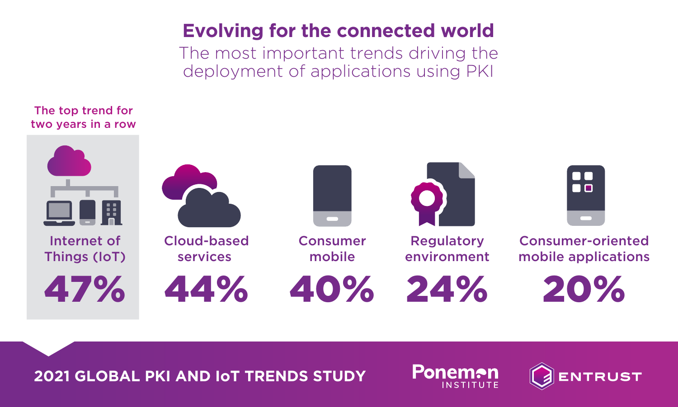## **Evolving for the connected world**

The most important trends driving the deployment of applications using PKI





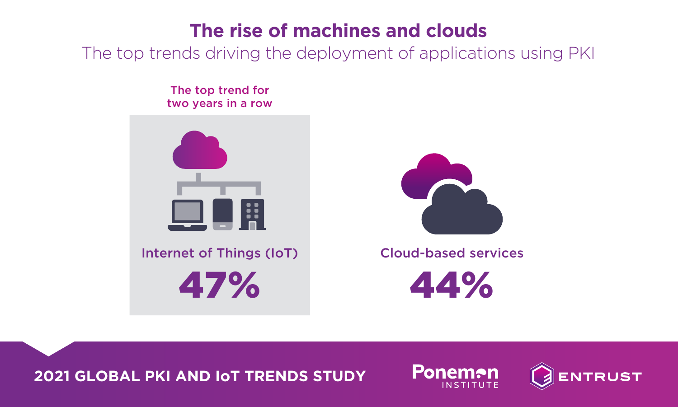## **The rise of machines and clouds**

The top trends driving the deployment of applications using PKI

The top trend for two years in a row



47%



44% Cloud-based services



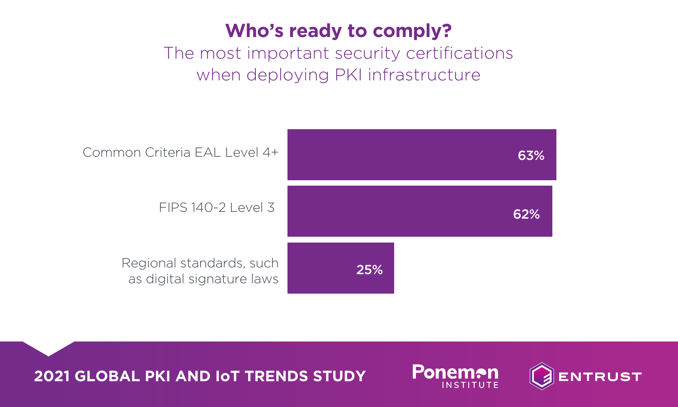# **Who's ready to comply?**

#### The most important security certifications when deploying PKI infrastructure





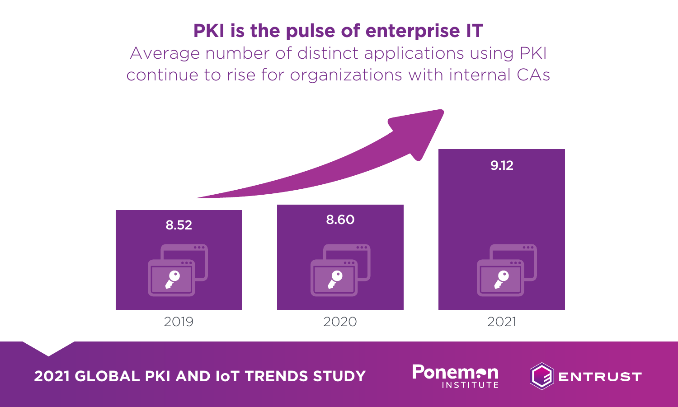## **PKI is the pulse of enterprise IT**

Average number of distinct applications using PKI continue to rise for organizations with internal CAs



**2021 GLOBAL PKI AND IoT TRENDS STUDY**



**Ponemon**